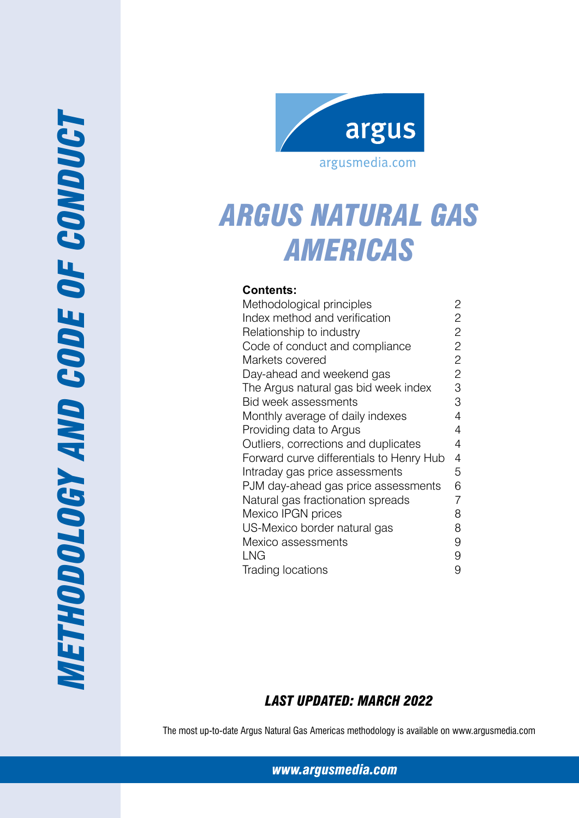

# *Argus Natural Gas Americas*

## **Contents:**

| Methodological principles                | 2              |
|------------------------------------------|----------------|
| Index method and verification            | 2              |
| Relationship to industry                 | 2              |
| Code of conduct and compliance           | $\overline{c}$ |
| Markets covered                          | $\overline{c}$ |
| Day-ahead and weekend gas                | $\overline{c}$ |
| The Argus natural gas bid week index     | 3              |
| Bid week assessments                     | 3              |
| Monthly average of daily indexes         | 4              |
| Providing data to Argus                  | 4              |
| Outliers, corrections and duplicates     | 4              |
| Forward curve differentials to Henry Hub | 4              |
| Intraday gas price assessments           | 5              |
| PJM day-ahead gas price assessments      | 6              |
| Natural gas fractionation spreads        | 7              |
| Mexico IPGN prices                       | 8              |
| US-Mexico border natural gas             | 8              |
| Mexico assessments                       | 9              |
| LNG                                      | 9              |
| Trading locations                        | 9              |

## *Last Updated: March 2022*

The most up-to-date Argus Natural Gas Americas methodology is available on www.argusmedia.com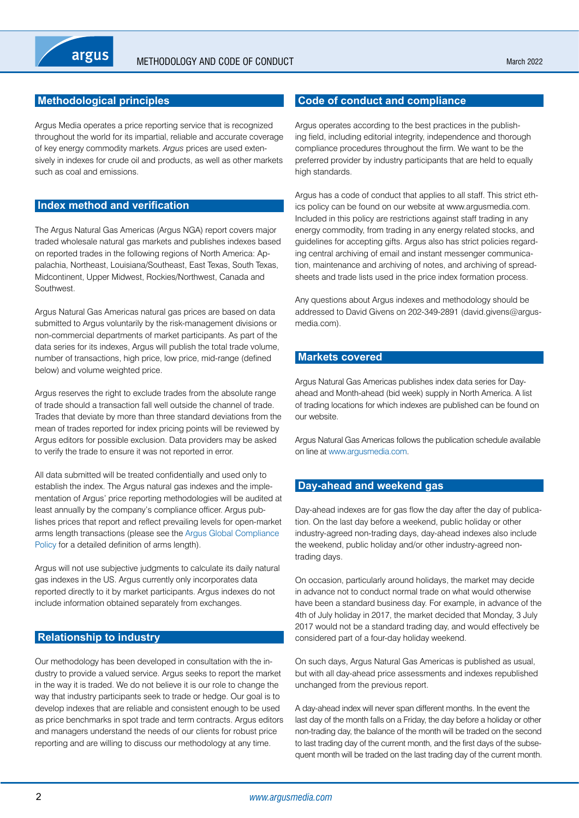## <span id="page-1-0"></span>**Methodological principles**

Argus Media operates a price reporting service that is recognized throughout the world for its impartial, reliable and accurate coverage of key energy commodity markets. *Argus* prices are used extensively in indexes for crude oil and products, as well as other markets such as coal and emissions.

## **Index method and verification**

The Argus Natural Gas Americas (Argus NGA) report covers major traded wholesale natural gas markets and publishes indexes based on reported trades in the following regions of North America: Appalachia, Northeast, Louisiana/Southeast, East Texas, South Texas, Midcontinent, Upper Midwest, Rockies/Northwest, Canada and **Southwest** 

Argus Natural Gas Americas natural gas prices are based on data submitted to Argus voluntarily by the risk-management divisions or non-commercial departments of market participants. As part of the data series for its indexes, Argus will publish the total trade volume, number of transactions, high price, low price, mid-range (defined below) and volume weighted price.

Argus reserves the right to exclude trades from the absolute range of trade should a transaction fall well outside the channel of trade. Trades that deviate by more than three standard deviations from the mean of trades reported for index pricing points will be reviewed by Argus editors for possible exclusion. Data providers may be asked to verify the trade to ensure it was not reported in error.

All data submitted will be treated confidentially and used only to establish the index. The Argus natural gas indexes and the implementation of Argus' price reporting methodologies will be audited at least annually by the company's compliance officer. Argus publishes prices that report and reflect prevailing levels for open-market arms length transactions (please see the [Argus Global Compliance](https://www.argusmedia.com/-/media/Files/governance-and-compliance/global-compliance.ashx?la=en&hash=DB833EADC2BC60A7B262FC13D5E6A4B46CCDAB1E)  [Policy](https://www.argusmedia.com/-/media/Files/governance-and-compliance/global-compliance.ashx?la=en&hash=DB833EADC2BC60A7B262FC13D5E6A4B46CCDAB1E) for a detailed definition of arms length).

Argus will not use subjective judgments to calculate its daily natural gas indexes in the US. Argus currently only incorporates data reported directly to it by market participants. Argus indexes do not include information obtained separately from exchanges.

## **Relationship to industry**

Our methodology has been developed in consultation with the industry to provide a valued service. Argus seeks to report the market in the way it is traded. We do not believe it is our role to change the way that industry participants seek to trade or hedge. Our goal is to develop indexes that are reliable and consistent enough to be used as price benchmarks in spot trade and term contracts. Argus editors and managers understand the needs of our clients for robust price reporting and are willing to discuss our methodology at any time.

## **Code of conduct and compliance**

Argus operates according to the best practices in the publishing field, including editorial integrity, independence and thorough compliance procedures throughout the firm. We want to be the preferred provider by industry participants that are held to equally high standards.

Argus has a code of conduct that applies to all staff. This strict ethics policy can be found on our website at www.argusmedia.com. Included in this policy are restrictions against staff trading in any energy commodity, from trading in any energy related stocks, and guidelines for accepting gifts. Argus also has strict policies regarding central archiving of email and instant messenger communication, maintenance and archiving of notes, and archiving of spreadsheets and trade lists used in the price index formation process.

Any questions about Argus indexes and methodology should be addressed to David Givens on 202-349-2891 (david.givens@argusmedia.com).

## **Markets covered**

Argus Natural Gas Americas publishes index data series for Dayahead and Month-ahead (bid week) supply in North America. A list of trading locations for which indexes are published can be found on our website.

Argus Natural Gas Americas follows the publication schedule available on line at [www.argusmedia.com](https://www.argusmedia.com/).

## **Day-ahead and weekend gas**

Day-ahead indexes are for gas flow the day after the day of publication. On the last day before a weekend, public holiday or other industry-agreed non-trading days, day-ahead indexes also include the weekend, public holiday and/or other industry-agreed nontrading days.

On occasion, particularly around holidays, the market may decide in advance not to conduct normal trade on what would otherwise have been a standard business day. For example, in advance of the 4th of July holiday in 2017, the market decided that Monday, 3 July 2017 would not be a standard trading day, and would effectively be considered part of a four-day holiday weekend.

On such days, Argus Natural Gas Americas is published as usual, but with all day-ahead price assessments and indexes republished unchanged from the previous report.

A day-ahead index will never span different months. In the event the last day of the month falls on a Friday, the day before a holiday or other non-trading day, the balance of the month will be traded on the second to last trading day of the current month, and the first days of the subsequent month will be traded on the last trading day of the current month.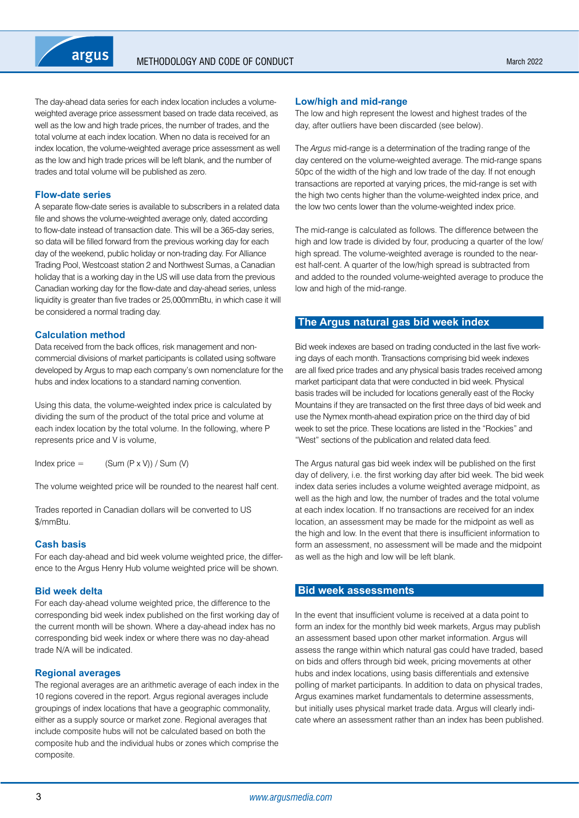<span id="page-2-0"></span>

The day-ahead data series for each index location includes a volumeweighted average price assessment based on trade data received, as well as the low and high trade prices, the number of trades, and the total volume at each index location. When no data is received for an index location, the volume-weighted average price assessment as well as the low and high trade prices will be left blank, and the number of trades and total volume will be published as zero.

#### **Flow-date series**

A separate flow-date series is available to subscribers in a related data file and shows the volume-weighted average only, dated according to flow-date instead of transaction date. This will be a 365-day series, so data will be filled forward from the previous working day for each day of the weekend, public holiday or non-trading day. For Alliance Trading Pool, Westcoast station 2 and Northwest Sumas, a Canadian holiday that is a working day in the US will use data from the previous Canadian working day for the flow-date and day-ahead series, unless liquidity is greater than five trades or 25,000mmBtu, in which case it will be considered a normal trading day.

#### **Calculation method**

Data received from the back offices, risk management and noncommercial divisions of market participants is collated using software developed by Argus to map each company's own nomenclature for the hubs and index locations to a standard naming convention.

Using this data, the volume-weighted index price is calculated by dividing the sum of the product of the total price and volume at each index location by the total volume. In the following, where P represents price and V is volume,

Index price  $=$  (Sum  $(P \times V)$ ) / Sum (V)

The volume weighted price will be rounded to the nearest half cent.

Trades reported in Canadian dollars will be converted to US \$/mmBtu.

#### **Cash basis**

For each day-ahead and bid week volume weighted price, the difference to the Argus Henry Hub volume weighted price will be shown.

#### **Bid week delta**

For each day-ahead volume weighted price, the difference to the corresponding bid week index published on the first working day of the current month will be shown. Where a day-ahead index has no corresponding bid week index or where there was no day-ahead trade N/A will be indicated.

#### **Regional averages**

The regional averages are an arithmetic average of each index in the 10 regions covered in the report. Argus regional averages include groupings of index locations that have a geographic commonality, either as a supply source or market zone. Regional averages that include composite hubs will not be calculated based on both the composite hub and the individual hubs or zones which comprise the composite.

#### **Low/high and mid-range**

The low and high represent the lowest and highest trades of the day, after outliers have been discarded (see below).

The *Argus* mid-range is a determination of the trading range of the day centered on the volume-weighted average. The mid-range spans 50pc of the width of the high and low trade of the day. If not enough transactions are reported at varying prices, the mid-range is set with the high two cents higher than the volume-weighted index price, and the low two cents lower than the volume-weighted index price.

The mid-range is calculated as follows. The difference between the high and low trade is divided by four, producing a quarter of the low/ high spread. The volume-weighted average is rounded to the nearest half-cent. A quarter of the low/high spread is subtracted from and added to the rounded volume-weighted average to produce the low and high of the mid-range.

#### **The Argus natural gas bid week index**

Bid week indexes are based on trading conducted in the last five working days of each month. Transactions comprising bid week indexes are all fixed price trades and any physical basis trades received among market participant data that were conducted in bid week. Physical basis trades will be included for locations generally east of the Rocky Mountains if they are transacted on the first three days of bid week and use the Nymex month-ahead expiration price on the third day of bid week to set the price. These locations are listed in the "Rockies" and "West" sections of the publication and related data feed.

The Argus natural gas bid week index will be published on the first day of delivery, i.e. the first working day after bid week. The bid week index data series includes a volume weighted average midpoint, as well as the high and low, the number of trades and the total volume at each index location. If no transactions are received for an index location, an assessment may be made for the midpoint as well as the high and low. In the event that there is insufficient information to form an assessment, no assessment will be made and the midpoint as well as the high and low will be left blank.

## **Bid week assessments**

In the event that insufficient volume is received at a data point to form an index for the monthly bid week markets, Argus may publish an assessment based upon other market information. Argus will assess the range within which natural gas could have traded, based on bids and offers through bid week, pricing movements at other hubs and index locations, using basis differentials and extensive polling of market participants. In addition to data on physical trades, Argus examines market fundamentals to determine assessments, but initially uses physical market trade data. Argus will clearly indicate where an assessment rather than an index has been published.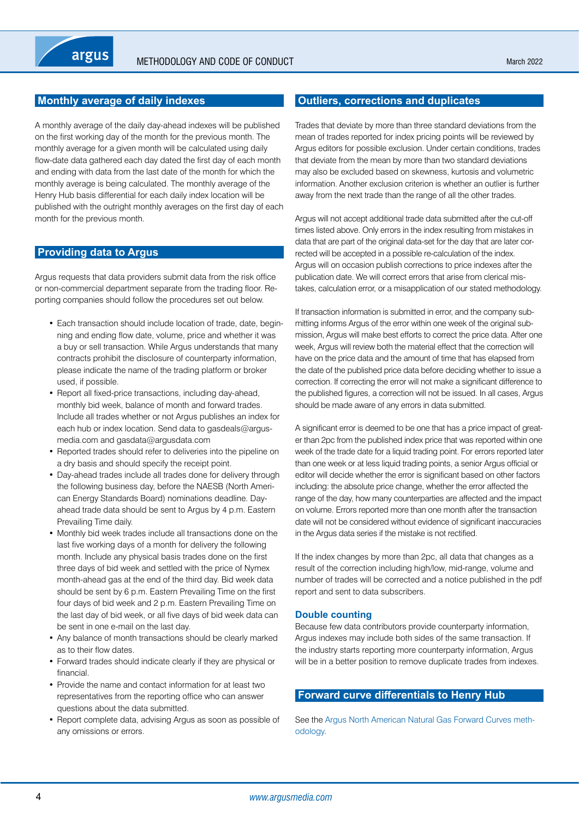## <span id="page-3-0"></span>**Monthly average of daily indexes**

A monthly average of the daily day-ahead indexes will be published on the first working day of the month for the previous month. The monthly average for a given month will be calculated using daily flow-date data gathered each day dated the first day of each month and ending with data from the last date of the month for which the monthly average is being calculated. The monthly average of the Henry Hub basis differential for each daily index location will be published with the outright monthly averages on the first day of each month for the previous month.

## **Providing data to Argus**

Argus requests that data providers submit data from the risk office or non-commercial department separate from the trading floor. Reporting companies should follow the procedures set out below.

- Each transaction should include location of trade, date, beginning and ending flow date, volume, price and whether it was a buy or sell transaction. While Argus understands that many contracts prohibit the disclosure of counterparty information, please indicate the name of the trading platform or broker used, if possible.
- Report all fixed-price transactions, including day-ahead, monthly bid week, balance of month and forward trades. Include all trades whether or not Argus publishes an index for each hub or index location. Send data to gasdeals@argusmedia.com and gasdata@argusdata.com
- Reported trades should refer to deliveries into the pipeline on a dry basis and should specify the receipt point.
- Day-ahead trades include all trades done for delivery through the following business day, before the NAESB (North American Energy Standards Board) nominations deadline. Dayahead trade data should be sent to Argus by 4 p.m. Eastern Prevailing Time daily.
- Monthly bid week trades include all transactions done on the last five working days of a month for delivery the following month. Include any physical basis trades done on the first three days of bid week and settled with the price of Nymex month-ahead gas at the end of the third day. Bid week data should be sent by 6 p.m. Eastern Prevailing Time on the first four days of bid week and 2 p.m. Eastern Prevailing Time on the last day of bid week, or all five days of bid week data can be sent in one e-mail on the last day.
- Any balance of month transactions should be clearly marked as to their flow dates.
- Forward trades should indicate clearly if they are physical or financial.
- Provide the name and contact information for at least two representatives from the reporting office who can answer questions about the data submitted.
- Report complete data, advising Argus as soon as possible of any omissions or errors.

## **Outliers, corrections and duplicates**

Trades that deviate by more than three standard deviations from the mean of trades reported for index pricing points will be reviewed by Argus editors for possible exclusion. Under certain conditions, trades that deviate from the mean by more than two standard deviations may also be excluded based on skewness, kurtosis and volumetric information. Another exclusion criterion is whether an outlier is further away from the next trade than the range of all the other trades.

Argus will not accept additional trade data submitted after the cut-off times listed above. Only errors in the index resulting from mistakes in data that are part of the original data-set for the day that are later corrected will be accepted in a possible re-calculation of the index. Argus will on occasion publish corrections to price indexes after the publication date. We will correct errors that arise from clerical mistakes, calculation error, or a misapplication of our stated methodology.

If transaction information is submitted in error, and the company submitting informs Argus of the error within one week of the original submission, Argus will make best efforts to correct the price data. After one week, Argus will review both the material effect that the correction will have on the price data and the amount of time that has elapsed from the date of the published price data before deciding whether to issue a correction. If correcting the error will not make a significant difference to the published figures, a correction will not be issued. In all cases, Argus should be made aware of any errors in data submitted.

A significant error is deemed to be one that has a price impact of greater than 2pc from the published index price that was reported within one week of the trade date for a liquid trading point. For errors reported later than one week or at less liquid trading points, a senior Argus official or editor will decide whether the error is significant based on other factors including: the absolute price change, whether the error affected the range of the day, how many counterparties are affected and the impact on volume. Errors reported more than one month after the transaction date will not be considered without evidence of significant inaccuracies in the Argus data series if the mistake is not rectified.

If the index changes by more than 2pc, all data that changes as a result of the correction including high/low, mid-range, volume and number of trades will be corrected and a notice published in the pdf report and sent to data subscribers.

#### **Double counting**

Because few data contributors provide counterparty information, Argus indexes may include both sides of the same transaction. If the industry starts reporting more counterparty information, Argus will be in a better position to remove duplicate trades from indexes.

## **Forward curve differentials to Henry Hub**

See the [Argus North American Natural Gas Forward Curves meth](https://www.argusmedia.com/-/media/Files/methodology/argus-north-american-natural-gas-forward-curves.ashx)[odology](https://www.argusmedia.com/-/media/Files/methodology/argus-north-american-natural-gas-forward-curves.ashx).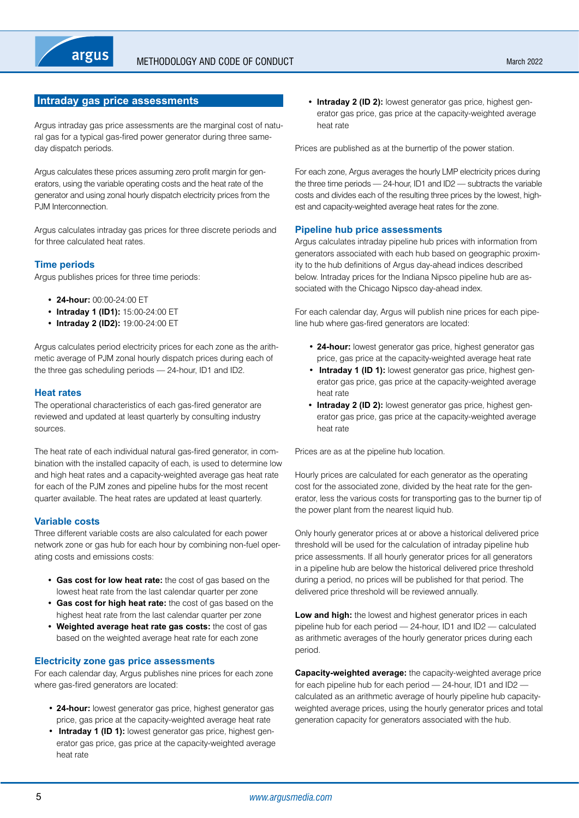## <span id="page-4-0"></span>**Intraday gas price assessments**

Argus intraday gas price assessments are the marginal cost of natural gas for a typical gas-fired power generator during three sameday dispatch periods.

Argus calculates these prices assuming zero profit margin for generators, using the variable operating costs and the heat rate of the generator and using zonal hourly dispatch electricity prices from the PJM Interconnection.

Argus calculates intraday gas prices for three discrete periods and for three calculated heat rates.

## **Time periods**

Argus publishes prices for three time periods:

- **• 24-hour:** 00:00-24:00 ET
- **• Intraday 1 (ID1):** 15:00-24:00 ET
- **• Intraday 2 (ID2):** 19:00-24:00 ET

Argus calculates period electricity prices for each zone as the arithmetic average of PJM zonal hourly dispatch prices during each of the three gas scheduling periods — 24-hour, ID1 and ID2.

#### **Heat rates**

The operational characteristics of each gas-fired generator are reviewed and updated at least quarterly by consulting industry sources.

The heat rate of each individual natural gas-fired generator, in combination with the installed capacity of each, is used to determine low and high heat rates and a capacity-weighted average gas heat rate for each of the PJM zones and pipeline hubs for the most recent quarter available. The heat rates are updated at least quarterly.

#### **Variable costs**

Three different variable costs are also calculated for each power network zone or gas hub for each hour by combining non-fuel operating costs and emissions costs:

- **• Gas cost for low heat rate:** the cost of gas based on the lowest heat rate from the last calendar quarter per zone
- **• Gas cost for high heat rate:** the cost of gas based on the highest heat rate from the last calendar quarter per zone
- **• Weighted average heat rate gas costs:** the cost of gas based on the weighted average heat rate for each zone

#### **Electricity zone gas price assessments**

For each calendar day, Argus publishes nine prices for each zone where gas-fired generators are located:

- **24-hour:** lowest generator gas price, highest generator gas price, gas price at the capacity-weighted average heat rate
- **Intraday 1 (ID 1):** lowest generator gas price, highest generator gas price, gas price at the capacity-weighted average heat rate

**• Intraday 2 (ID 2):** lowest generator gas price, highest generator gas price, gas price at the capacity-weighted average heat rate

Prices are published as at the burnertip of the power station.

For each zone, Argus averages the hourly LMP electricity prices during the three time periods — 24-hour, ID1 and ID2 — subtracts the variable costs and divides each of the resulting three prices by the lowest, highest and capacity-weighted average heat rates for the zone.

#### **Pipeline hub price assessments**

Argus calculates intraday pipeline hub prices with information from generators associated with each hub based on geographic proximity to the hub definitions of Argus day-ahead indices described below. Intraday prices for the Indiana Nipsco pipeline hub are associated with the Chicago Nipsco day-ahead index.

For each calendar day, Argus will publish nine prices for each pipeline hub where gas-fired generators are located:

- **24-hour:** lowest generator gas price, highest generator gas price, gas price at the capacity-weighted average heat rate
- **Intraday 1 (ID 1):** lowest generator gas price, highest generator gas price, gas price at the capacity-weighted average heat rate
- **• Intraday 2 (ID 2):** lowest generator gas price, highest generator gas price, gas price at the capacity-weighted average heat rate

Prices are as at the pipeline hub location.

Hourly prices are calculated for each generator as the operating cost for the associated zone, divided by the heat rate for the generator, less the various costs for transporting gas to the burner tip of the power plant from the nearest liquid hub.

Only hourly generator prices at or above a historical delivered price threshold will be used for the calculation of intraday pipeline hub price assessments. If all hourly generator prices for all generators in a pipeline hub are below the historical delivered price threshold during a period, no prices will be published for that period. The delivered price threshold will be reviewed annually.

**Low and high:** the lowest and highest generator prices in each pipeline hub for each period — 24-hour, ID1 and ID2 — calculated as arithmetic averages of the hourly generator prices during each period.

**Capacity-weighted average:** the capacity-weighted average price for each pipeline hub for each period – 24-hour, ID1 and ID2 calculated as an arithmetic average of hourly pipeline hub capacityweighted average prices, using the hourly generator prices and total generation capacity for generators associated with the hub.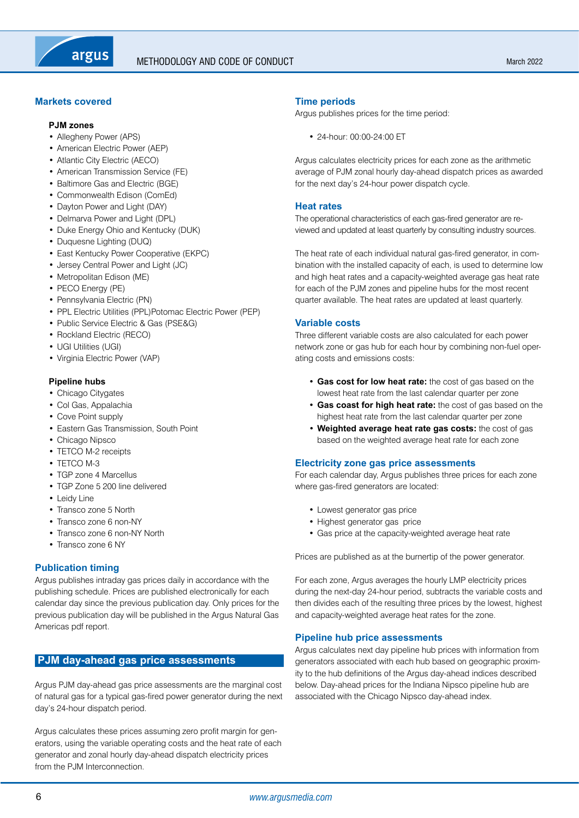## <span id="page-5-0"></span>**Markets covered**

#### **PJM zones**

- Allegheny Power (APS)
- American Electric Power (AEP)
- Atlantic City Electric (AECO)
- American Transmission Service (FE)
- Baltimore Gas and Electric (BGE)
- Commonwealth Edison (ComEd)
- Dayton Power and Light (DAY)
- Delmarva Power and Light (DPL)
- Duke Energy Ohio and Kentucky (DUK)
- Duquesne Lighting (DUQ)
- East Kentucky Power Cooperative (EKPC)
- Jersey Central Power and Light (JC)
- Metropolitan Edison (ME)
- PECO Energy (PE)
- Pennsylvania Electric (PN)
- PPL Electric Utilities (PPL)Potomac Electric Power (PEP)
- Public Service Electric & Gas (PSE&G)
- Rockland Electric (RECO)
- UGI Utilities (UGI)
- Virginia Electric Power (VAP)

#### **Pipeline hubs**

- Chicago Citygates
- Col Gas, Appalachia
- Cove Point supply
- Eastern Gas Transmission, South Point
- Chicago Nipsco
- TETCO M-2 receipts
- TETCO M-3
- TGP zone 4 Marcellus
- TGP Zone 5 200 line delivered
- Leidy Line
- Transco zone 5 North
- Transco zone 6 non-NY
- Transco zone 6 non-NY North
- Transco zone 6 NY

#### **Publication timing**

Argus publishes intraday gas prices daily in accordance with the publishing schedule. Prices are published electronically for each calendar day since the previous publication day. Only prices for the previous publication day will be published in the Argus Natural Gas Americas pdf report.

## **PJM day-ahead gas price assessments**

Argus PJM day-ahead gas price assessments are the marginal cost of natural gas for a typical gas-fired power generator during the next day's 24-hour dispatch period.

Argus calculates these prices assuming zero profit margin for generators, using the variable operating costs and the heat rate of each generator and zonal hourly day-ahead dispatch electricity prices from the PJM Interconnection.

## **Time periods**

Argus publishes prices for the time period:

• 24-hour: 00:00-24:00 ET

Argus calculates electricity prices for each zone as the arithmetic average of PJM zonal hourly day-ahead dispatch prices as awarded for the next day's 24-hour power dispatch cycle.

#### **Heat rates**

The operational characteristics of each gas-fired generator are reviewed and updated at least quarterly by consulting industry sources.

The heat rate of each individual natural gas-fired generator, in combination with the installed capacity of each, is used to determine low and high heat rates and a capacity-weighted average gas heat rate for each of the PJM zones and pipeline hubs for the most recent quarter available. The heat rates are updated at least quarterly.

#### **Variable costs**

Three different variable costs are also calculated for each power network zone or gas hub for each hour by combining non-fuel operating costs and emissions costs:

- **Gas cost for low heat rate:** the cost of gas based on the lowest heat rate from the last calendar quarter per zone
- **Gas coast for high heat rate:** the cost of gas based on the highest heat rate from the last calendar quarter per zone
- **Weighted average heat rate gas costs:** the cost of gas based on the weighted average heat rate for each zone

#### **Electricity zone gas price assessments**

For each calendar day, Argus publishes three prices for each zone where gas-fired generators are located:

- Lowest generator gas price
- Highest generator gas price
- Gas price at the capacity-weighted average heat rate

Prices are published as at the burnertip of the power generator.

For each zone, Argus averages the hourly LMP electricity prices during the next-day 24-hour period, subtracts the variable costs and then divides each of the resulting three prices by the lowest, highest and capacity-weighted average heat rates for the zone.

#### **Pipeline hub price assessments**

Argus calculates next day pipeline hub prices with information from generators associated with each hub based on geographic proximity to the hub definitions of the Argus day-ahead indices described below. Day-ahead prices for the Indiana Nipsco pipeline hub are associated with the Chicago Nipsco day-ahead index.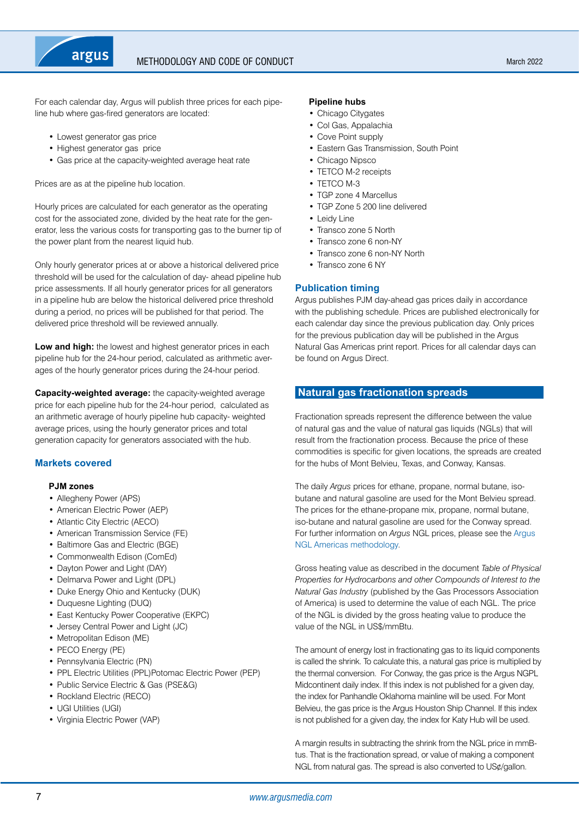<span id="page-6-0"></span>

## Methodology and code of conduct

For each calendar day, Argus will publish three prices for each pipeline hub where gas-fired generators are located:

- Lowest generator gas price
- Highest generator gas price
- Gas price at the capacity-weighted average heat rate

Prices are as at the pipeline hub location.

Hourly prices are calculated for each generator as the operating cost for the associated zone, divided by the heat rate for the generator, less the various costs for transporting gas to the burner tip of the power plant from the nearest liquid hub.

Only hourly generator prices at or above a historical delivered price threshold will be used for the calculation of day- ahead pipeline hub price assessments. If all hourly generator prices for all generators in a pipeline hub are below the historical delivered price threshold during a period, no prices will be published for that period. The delivered price threshold will be reviewed annually.

**Low and high:** the lowest and highest generator prices in each pipeline hub for the 24-hour period, calculated as arithmetic averages of the hourly generator prices during the 24-hour period.

**Capacity-weighted average:** the capacity-weighted average price for each pipeline hub for the 24-hour period, calculated as an arithmetic average of hourly pipeline hub capacity- weighted average prices, using the hourly generator prices and total generation capacity for generators associated with the hub.

## **Markets covered**

#### **PJM zones**

- Allegheny Power (APS)
- American Electric Power (AEP)
- Atlantic City Electric (AECO)
- American Transmission Service (FE)
- Baltimore Gas and Electric (BGE)
- Commonwealth Edison (ComEd)
- Dayton Power and Light (DAY)
- Delmarva Power and Light (DPL)
- Duke Energy Ohio and Kentucky (DUK)
- Duquesne Lighting (DUQ)
- East Kentucky Power Cooperative (EKPC)
- Jersey Central Power and Light (JC)
- Metropolitan Edison (ME)
- PECO Energy (PE)
- Pennsylvania Electric (PN)
- PPL Electric Utilities (PPL)Potomac Electric Power (PEP)
- Public Service Electric & Gas (PSE&G)
- Rockland Electric (RECO)
- UGI Utilities (UGI)
- Virginia Electric Power (VAP)

#### **Pipeline hubs**

- Chicago Citygates
- Col Gas, Appalachia
- Cove Point supply
- Eastern Gas Transmission, South Point
- Chicago Nipsco
- TETCO M-2 receipts
- TETCO M-3
- TGP zone 4 Marcellus
- TGP Zone 5 200 line delivered
- Leidy Line
- Transco zone 5 North
- Transco zone 6 non-NY
- Transco zone 6 non-NY North
- Transco zone 6 NY

## **Publication timing**

Argus publishes PJM day-ahead gas prices daily in accordance with the publishing schedule. Prices are published electronically for each calendar day since the previous publication day. Only prices for the previous publication day will be published in the Argus Natural Gas Americas print report. Prices for all calendar days can be found on Argus Direct.

## **Natural gas fractionation spreads**

Fractionation spreads represent the difference between the value of natural gas and the value of natural gas liquids (NGLs) that will result from the fractionation process. Because the price of these commodities is specific for given locations, the spreads are created for the hubs of Mont Belvieu, Texas, and Conway, Kansas.

The daily *Argus* prices for ethane, propane, normal butane, isobutane and natural gasoline are used for the Mont Belvieu spread. The prices for the ethane-propane mix, propane, normal butane, iso-butane and natural gasoline are used for the Conway spread. For further information on *Argus* NGL prices, please see the [Argus](https://www.argusmedia.com/-/media/Files/methodology/argus-ngl-americas.ashx)  [NGL Americas methodology](https://www.argusmedia.com/-/media/Files/methodology/argus-ngl-americas.ashx).

Gross heating value as described in the document *Table of Physical Properties for Hydrocarbons and other Compounds of Interest to the Natural Gas Industry* (published by the Gas Processors Association of America) is used to determine the value of each NGL. The price of the NGL is divided by the gross heating value to produce the value of the NGL in US\$/mmBtu.

The amount of energy lost in fractionating gas to its liquid components is called the shrink. To calculate this, a natural gas price is multiplied by the thermal conversion. For Conway, the gas price is the Argus NGPL Midcontinent daily index. If this index is not published for a given day, the index for Panhandle Oklahoma mainline will be used. For Mont Belvieu, the gas price is the Argus Houston Ship Channel. If this index is not published for a given day, the index for Katy Hub will be used.

A margin results in subtracting the shrink from the NGL price in mmBtus. That is the fractionation spread, or value of making a component NGL from natural gas. The spread is also converted to US¢/gallon.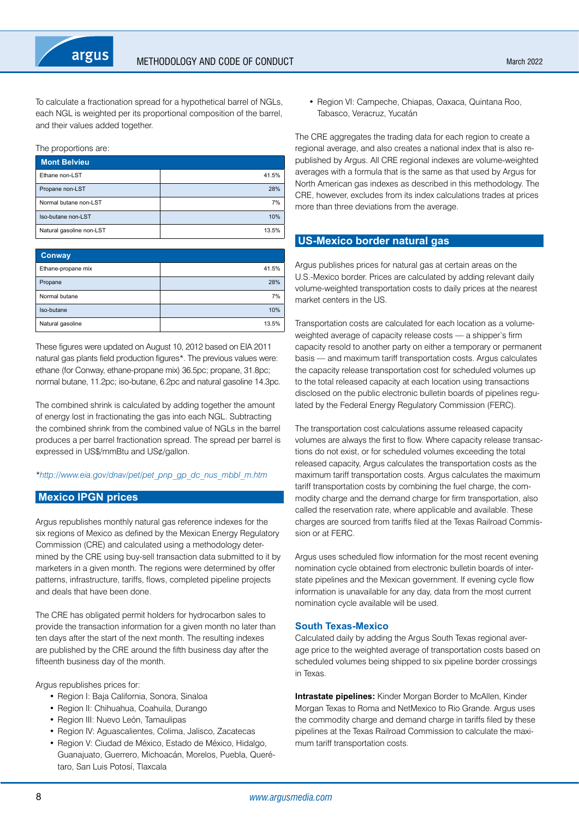<span id="page-7-0"></span>To calculate a fractionation spread for a hypothetical barrel of NGLs, each NGL is weighted per its proportional composition of the barrel, and their values added together.

#### The proportions are:

| <b>Mont Belvieu</b>      |       |
|--------------------------|-------|
| Ethane non-LST           | 41.5% |
| Propane non-LST          | 28%   |
| Normal butane non-LST    | 7%    |
| Iso-butane non-LST       | 10%   |
| Natural gasoline non-LST | 13.5% |

| <b>Conway</b>      |       |
|--------------------|-------|
| Ethane-propane mix | 41.5% |
| Propane            | 28%   |
| Normal butane      | 7%    |
| Iso-butane         | 10%   |
| Natural gasoline   | 13.5% |

These figures were updated on August 10, 2012 based on EIA 2011 natural gas plants field production figures\*. The previous values were: ethane (for Conway, ethane-propane mix) 36.5pc; propane, 31.8pc; normal butane, 11.2pc; iso-butane, 6.2pc and natural gasoline 14.3pc.

The combined shrink is calculated by adding together the amount of energy lost in fractionating the gas into each NGL. Subtracting the combined shrink from the combined value of NGLs in the barrel produces a per barrel fractionation spread. The spread per barrel is expressed in US\$/mmBtu and US¢/gallon.

#### *\*[http://www.eia.gov/dnav/pet/pet\\_pnp\\_gp\\_dc\\_nus\\_mbbl\\_m.htm](http://www.eia.gov/dnav/pet/pet_pnp_gp_dc_nus_mbbl_m.htm)*

## **Mexico IPGN prices**

Argus republishes monthly natural gas reference indexes for the six regions of Mexico as defined by the Mexican Energy Regulatory Commission (CRE) and calculated using a methodology determined by the CRE using buy-sell transaction data submitted to it by marketers in a given month. The regions were determined by offer patterns, infrastructure, tariffs, flows, completed pipeline projects and deals that have been done.

The CRE has obligated permit holders for hydrocarbon sales to provide the transaction information for a given month no later than ten days after the start of the next month. The resulting indexes are published by the CRE around the fifth business day after the fifteenth business day of the month.

Argus republishes prices for:

- Region I: Baja California, Sonora, Sinaloa
- Region II: Chihuahua, Coahuila, Durango
- Region III: Nuevo León, Tamaulipas
- Region IV: Aguascalientes, Colima, Jalisco, Zacatecas
- Region V: Ciudad de México, Estado de México, Hidalgo, Guanajuato, Guerrero, Michoacán, Morelos, Puebla, Querétaro, San Luis Potosí, Tlaxcala

• Region VI: Campeche, Chiapas, Oaxaca, Quintana Roo, Tabasco, Veracruz, Yucatán

The CRE aggregates the trading data for each region to create a regional average, and also creates a national index that is also republished by Argus. All CRE regional indexes are volume-weighted averages with a formula that is the same as that used by Argus for North American gas indexes as described in this methodology. The CRE, however, excludes from its index calculations trades at prices more than three deviations from the average.

## **US-Mexico border natural gas**

Argus publishes prices for natural gas at certain areas on the U.S.-Mexico border. Prices are calculated by adding relevant daily volume-weighted transportation costs to daily prices at the nearest market centers in the US.

Transportation costs are calculated for each location as a volumeweighted average of capacity release costs — a shipper's firm capacity resold to another party on either a temporary or permanent basis — and maximum tariff transportation costs. Argus calculates the capacity release transportation cost for scheduled volumes up to the total released capacity at each location using transactions disclosed on the public electronic bulletin boards of pipelines regulated by the Federal Energy Regulatory Commission (FERC).

The transportation cost calculations assume released capacity volumes are always the first to flow. Where capacity release transactions do not exist, or for scheduled volumes exceeding the total released capacity, Argus calculates the transportation costs as the maximum tariff transportation costs. Argus calculates the maximum tariff transportation costs by combining the fuel charge, the commodity charge and the demand charge for firm transportation, also called the reservation rate, where applicable and available. These charges are sourced from tariffs filed at the Texas Railroad Commission or at FERC.

Argus uses scheduled flow information for the most recent evening nomination cycle obtained from electronic bulletin boards of interstate pipelines and the Mexican government. If evening cycle flow information is unavailable for any day, data from the most current nomination cycle available will be used.

#### **South Texas-Mexico**

Calculated daily by adding the Argus South Texas regional average price to the weighted average of transportation costs based on scheduled volumes being shipped to six pipeline border crossings in Texas.

**Intrastate pipelines:** Kinder Morgan Border to McAllen, Kinder Morgan Texas to Roma and NetMexico to Rio Grande. Argus uses the commodity charge and demand charge in tariffs filed by these pipelines at the Texas Railroad Commission to calculate the maximum tariff transportation costs.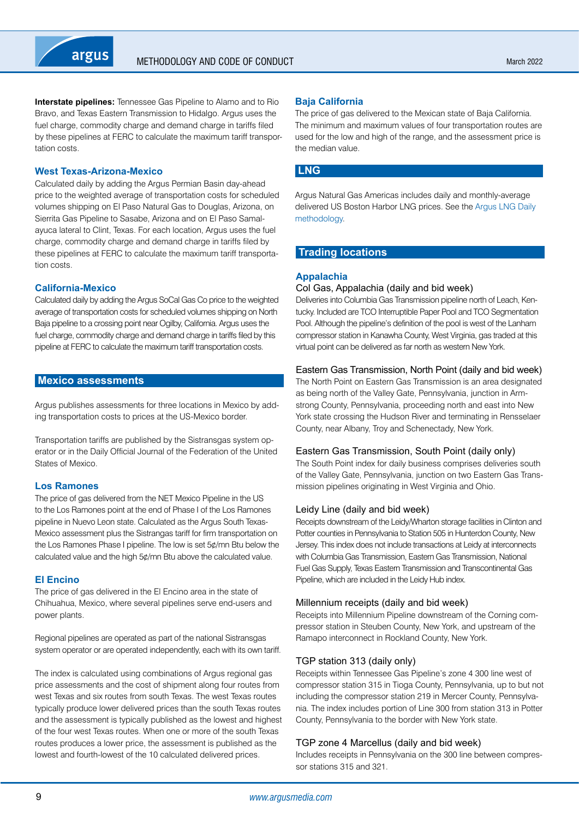<span id="page-8-0"></span>**Interstate pipelines:** Tennessee Gas Pipeline to Alamo and to Rio Bravo, and Texas Eastern Transmission to Hidalgo. Argus uses the fuel charge, commodity charge and demand charge in tariffs filed by these pipelines at FERC to calculate the maximum tariff transportation costs.

#### **West Texas-Arizona-Mexico**

Calculated daily by adding the Argus Permian Basin day-ahead price to the weighted average of transportation costs for scheduled volumes shipping on El Paso Natural Gas to Douglas, Arizona, on Sierrita Gas Pipeline to Sasabe, Arizona and on El Paso Samalayuca lateral to Clint, Texas. For each location, Argus uses the fuel charge, commodity charge and demand charge in tariffs filed by these pipelines at FERC to calculate the maximum tariff transportation costs.

#### **California-Mexico**

Calculated daily by adding the Argus SoCal Gas Co price to the weighted average of transportation costs for scheduled volumes shipping on North Baja pipeline to a crossing point near Ogilby, California. Argus uses the fuel charge, commodity charge and demand charge in tariffs filed by this pipeline at FERC to calculate the maximum tariff transportation costs.

#### **Mexico assessments**

Argus publishes assessments for three locations in Mexico by adding transportation costs to prices at the US-Mexico border.

Transportation tariffs are published by the Sistransgas system operator or in the Daily Official Journal of the Federation of the United States of Mexico.

#### **Los Ramones**

The price of gas delivered from the NET Mexico Pipeline in the US to the Los Ramones point at the end of Phase I of the Los Ramones pipeline in Nuevo Leon state. Calculated as the Argus South Texas-Mexico assessment plus the Sistrangas tariff for firm transportation on the Los Ramones Phase I pipeline. The low is set 5¢/mn Btu below the calculated value and the high 5¢/mn Btu above the calculated value.

#### **El Encino**

The price of gas delivered in the El Encino area in the state of Chihuahua, Mexico, where several pipelines serve end-users and power plants.

Regional pipelines are operated as part of the national Sistransgas system operator or are operated independently, each with its own tariff.

The index is calculated using combinations of Argus regional gas price assessments and the cost of shipment along four routes from west Texas and six routes from south Texas. The west Texas routes typically produce lower delivered prices than the south Texas routes and the assessment is typically published as the lowest and highest of the four west Texas routes. When one or more of the south Texas routes produces a lower price, the assessment is published as the lowest and fourth-lowest of the 10 calculated delivered prices.

#### **Baja California**

The price of gas delivered to the Mexican state of Baja California. The minimum and maximum values of four transportation routes are used for the low and high of the range, and the assessment price is the median value.

## **LNG**

Argus Natural Gas Americas includes daily and monthly-average delivered US Boston Harbor LNG prices. See the [Argus LNG Daily](https://www.argusmedia.com/-/media/Files/methodology/argus-lng-daily.ashx)  [methodology](https://www.argusmedia.com/-/media/Files/methodology/argus-lng-daily.ashx).

## **Trading locations**

## **Appalachia**

#### Col Gas, Appalachia (daily and bid week)

Deliveries into Columbia Gas Transmission pipeline north of Leach, Kentucky. Included are TCO Interruptible Paper Pool and TCO Segmentation Pool. Although the pipeline's definition of the pool is west of the Lanham compressor station in Kanawha County, West Virginia, gas traded at this virtual point can be delivered as far north as western New York.

#### Eastern Gas Transmission, North Point (daily and bid week)

The North Point on Eastern Gas Transmission is an area designated as being north of the Valley Gate, Pennsylvania, junction in Armstrong County, Pennsylvania, proceeding north and east into New York state crossing the Hudson River and terminating in Rensselaer County, near Albany, Troy and Schenectady, New York.

#### Eastern Gas Transmission, South Point (daily only)

The South Point index for daily business comprises deliveries south of the Valley Gate, Pennsylvania, junction on two Eastern Gas Transmission pipelines originating in West Virginia and Ohio.

#### Leidy Line (daily and bid week)

Receipts downstream of the Leidy/Wharton storage facilities in Clinton and Potter counties in Pennsylvania to Station 505 in Hunterdon County, New Jersey. This index does not include transactions at Leidy at interconnects with Columbia Gas Transmission, Eastern Gas Transmission, National Fuel Gas Supply, Texas Eastern Transmission and Transcontinental Gas Pipeline, which are included in the Leidy Hub index.

#### Millennium receipts (daily and bid week)

Receipts into Millennium Pipeline downstream of the Corning compressor station in Steuben County, New York, and upstream of the Ramapo interconnect in Rockland County, New York.

#### TGP station 313 (daily only)

Receipts within Tennessee Gas Pipeline's zone 4 300 line west of compressor station 315 in Tioga County, Pennsylvania, up to but not including the compressor station 219 in Mercer County, Pennsylvania. The index includes portion of Line 300 from station 313 in Potter County, Pennsylvania to the border with New York state.

## TGP zone 4 Marcellus (daily and bid week)

Includes receipts in Pennsylvania on the 300 line between compressor stations 315 and 321.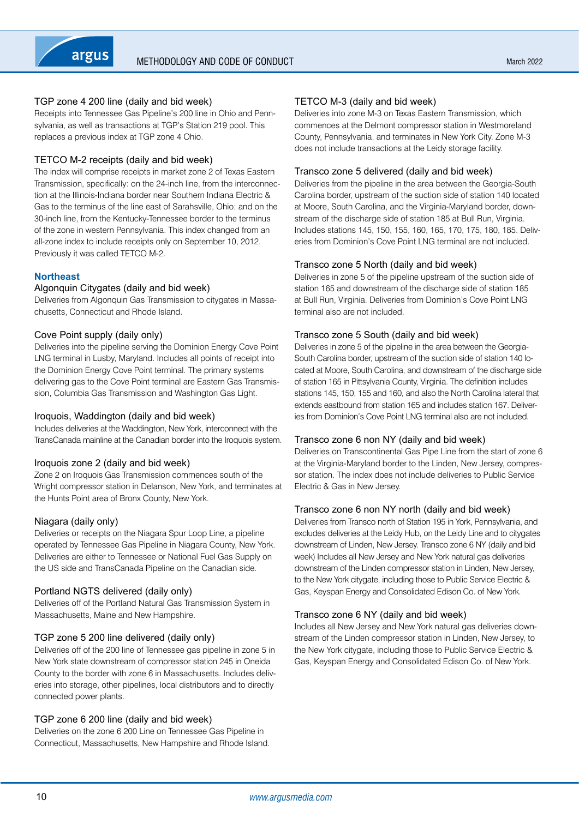## TGP zone 4 200 line (daily and bid week)

Receipts into Tennessee Gas Pipeline's 200 line in Ohio and Pennsylvania, as well as transactions at TGP's Station 219 pool. This replaces a previous index at TGP zone 4 Ohio.

#### TETCO M-2 receipts (daily and bid week)

The index will comprise receipts in market zone 2 of Texas Eastern Transmission, specifically: on the 24-inch line, from the interconnection at the Illinois-Indiana border near Southern Indiana Electric & Gas to the terminus of the line east of Sarahsville, Ohio; and on the 30-inch line, from the Kentucky-Tennessee border to the terminus of the zone in western Pennsylvania. This index changed from an all-zone index to include receipts only on September 10, 2012. Previously it was called TETCO M-2.

## **Northeast**

#### Algonquin Citygates (daily and bid week)

Deliveries from Algonquin Gas Transmission to citygates in Massachusetts, Connecticut and Rhode Island.

#### Cove Point supply (daily only)

Deliveries into the pipeline serving the Dominion Energy Cove Point LNG terminal in Lusby, Maryland. Includes all points of receipt into the Dominion Energy Cove Point terminal. The primary systems delivering gas to the Cove Point terminal are Eastern Gas Transmission, Columbia Gas Transmission and Washington Gas Light.

#### Iroquois, Waddington (daily and bid week)

Includes deliveries at the Waddington, New York, interconnect with the TransCanada mainline at the Canadian border into the Iroquois system.

#### Iroquois zone 2 (daily and bid week)

Zone 2 on Iroquois Gas Transmission commences south of the Wright compressor station in Delanson, New York, and terminates at the Hunts Point area of Bronx County, New York.

#### Niagara (daily only)

Deliveries or receipts on the Niagara Spur Loop Line, a pipeline operated by Tennessee Gas Pipeline in Niagara County, New York. Deliveries are either to Tennessee or National Fuel Gas Supply on the US side and TransCanada Pipeline on the Canadian side.

#### Portland NGTS delivered (daily only)

Deliveries off of the Portland Natural Gas Transmission System in Massachusetts, Maine and New Hampshire.

#### TGP zone 5 200 line delivered (daily only)

Deliveries off of the 200 line of Tennessee gas pipeline in zone 5 in New York state downstream of compressor station 245 in Oneida County to the border with zone 6 in Massachusetts. Includes deliveries into storage, other pipelines, local distributors and to directly connected power plants.

#### TGP zone 6 200 line (daily and bid week)

Deliveries on the zone 6 200 Line on Tennessee Gas Pipeline in Connecticut, Massachusetts, New Hampshire and Rhode Island.

## TETCO M-3 (daily and bid week)

Deliveries into zone M-3 on Texas Eastern Transmission, which commences at the Delmont compressor station in Westmoreland County, Pennsylvania, and terminates in New York City. Zone M-3 does not include transactions at the Leidy storage facility.

#### Transco zone 5 delivered (daily and bid week)

Deliveries from the pipeline in the area between the Georgia-South Carolina border, upstream of the suction side of station 140 located at Moore, South Carolina, and the Virginia-Maryland border, downstream of the discharge side of station 185 at Bull Run, Virginia. Includes stations 145, 150, 155, 160, 165, 170, 175, 180, 185. Deliveries from Dominion's Cove Point LNG terminal are not included.

#### Transco zone 5 North (daily and bid week)

Deliveries in zone 5 of the pipeline upstream of the suction side of station 165 and downstream of the discharge side of station 185 at Bull Run, Virginia. Deliveries from Dominion's Cove Point LNG terminal also are not included.

#### Transco zone 5 South (daily and bid week)

Deliveries in zone 5 of the pipeline in the area between the Georgia-South Carolina border, upstream of the suction side of station 140 located at Moore, South Carolina, and downstream of the discharge side of station 165 in Pittsylvania County, Virginia. The definition includes stations 145, 150, 155 and 160, and also the North Carolina lateral that extends eastbound from station 165 and includes station 167. Deliveries from Dominion's Cove Point LNG terminal also are not included.

#### Transco zone 6 non NY (daily and bid week)

Deliveries on Transcontinental Gas Pipe Line from the start of zone 6 at the Virginia-Maryland border to the Linden, New Jersey, compressor station. The index does not include deliveries to Public Service Electric & Gas in New Jersey.

#### Transco zone 6 non NY north (daily and bid week)

Deliveries from Transco north of Station 195 in York, Pennsylvania, and excludes deliveries at the Leidy Hub, on the Leidy Line and to citygates downstream of Linden, New Jersey. Transco zone 6 NY (daily and bid week) Includes all New Jersey and New York natural gas deliveries downstream of the Linden compressor station in Linden, New Jersey, to the New York citygate, including those to Public Service Electric & Gas, Keyspan Energy and Consolidated Edison Co. of New York.

#### Transco zone 6 NY (daily and bid week)

Includes all New Jersey and New York natural gas deliveries downstream of the Linden compressor station in Linden, New Jersey, to the New York citygate, including those to Public Service Electric & Gas, Keyspan Energy and Consolidated Edison Co. of New York.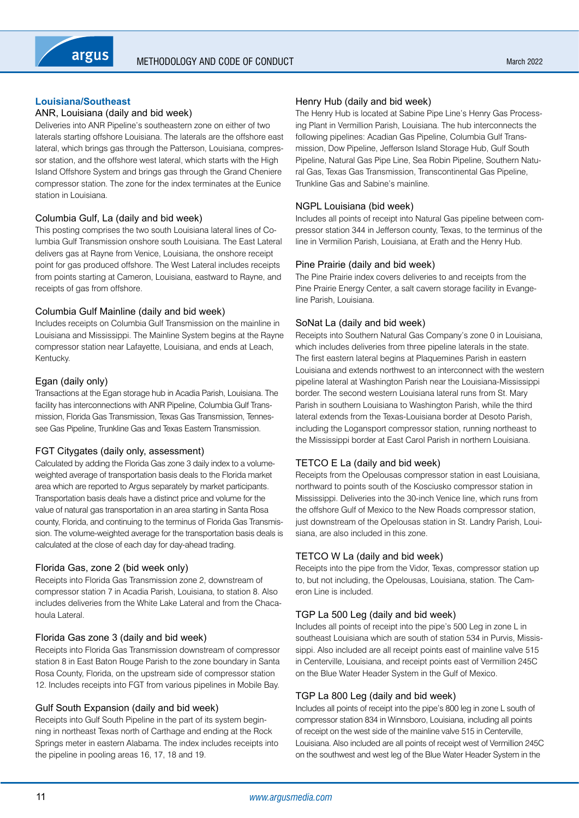## **Louisiana/Southeast**

## ANR, Louisiana (daily and bid week)

Deliveries into ANR Pipeline's southeastern zone on either of two laterals starting offshore Louisiana. The laterals are the offshore east lateral, which brings gas through the Patterson, Louisiana, compressor station, and the offshore west lateral, which starts with the High Island Offshore System and brings gas through the Grand Cheniere compressor station. The zone for the index terminates at the Eunice station in Louisiana.

## Columbia Gulf, La (daily and bid week)

This posting comprises the two south Louisiana lateral lines of Columbia Gulf Transmission onshore south Louisiana. The East Lateral delivers gas at Rayne from Venice, Louisiana, the onshore receipt point for gas produced offshore. The West Lateral includes receipts from points starting at Cameron, Louisiana, eastward to Rayne, and receipts of gas from offshore.

## Columbia Gulf Mainline (daily and bid week)

Includes receipts on Columbia Gulf Transmission on the mainline in Louisiana and Mississippi. The Mainline System begins at the Rayne compressor station near Lafayette, Louisiana, and ends at Leach, Kentucky.

## Egan (daily only)

Transactions at the Egan storage hub in Acadia Parish, Louisiana. The facility has interconnections with ANR Pipeline, Columbia Gulf Transmission, Florida Gas Transmission, Texas Gas Transmission, Tennessee Gas Pipeline, Trunkline Gas and Texas Eastern Transmission.

#### FGT Citygates (daily only, assessment)

Calculated by adding the Florida Gas zone 3 daily index to a volumeweighted average of transportation basis deals to the Florida market area which are reported to Argus separately by market participants. Transportation basis deals have a distinct price and volume for the value of natural gas transportation in an area starting in Santa Rosa county, Florida, and continuing to the terminus of Florida Gas Transmission. The volume-weighted average for the transportation basis deals is calculated at the close of each day for day-ahead trading.

#### Florida Gas, zone 2 (bid week only)

Receipts into Florida Gas Transmission zone 2, downstream of compressor station 7 in Acadia Parish, Louisiana, to station 8. Also includes deliveries from the White Lake Lateral and from the Chacahoula Lateral.

## Florida Gas zone 3 (daily and bid week)

Receipts into Florida Gas Transmission downstream of compressor station 8 in East Baton Rouge Parish to the zone boundary in Santa Rosa County, Florida, on the upstream side of compressor station 12. Includes receipts into FGT from various pipelines in Mobile Bay.

#### Gulf South Expansion (daily and bid week)

Receipts into Gulf South Pipeline in the part of its system beginning in northeast Texas north of Carthage and ending at the Rock Springs meter in eastern Alabama. The index includes receipts into the pipeline in pooling areas 16, 17, 18 and 19.

#### Henry Hub (daily and bid week)

The Henry Hub is located at Sabine Pipe Line's Henry Gas Processing Plant in Vermillion Parish, Louisiana. The hub interconnects the following pipelines: Acadian Gas Pipeline, Columbia Gulf Transmission, Dow Pipeline, Jefferson Island Storage Hub, Gulf South Pipeline, Natural Gas Pipe Line, Sea Robin Pipeline, Southern Natural Gas, Texas Gas Transmission, Transcontinental Gas Pipeline, Trunkline Gas and Sabine's mainline.

## NGPL Louisiana (bid week)

Includes all points of receipt into Natural Gas pipeline between compressor station 344 in Jefferson county, Texas, to the terminus of the line in Vermilion Parish, Louisiana, at Erath and the Henry Hub.

#### Pine Prairie (daily and bid week)

The Pine Prairie index covers deliveries to and receipts from the Pine Prairie Energy Center, a salt cavern storage facility in Evangeline Parish, Louisiana.

#### SoNat La (daily and bid week)

Receipts into Southern Natural Gas Company's zone 0 in Louisiana, which includes deliveries from three pipeline laterals in the state. The first eastern lateral begins at Plaquemines Parish in eastern Louisiana and extends northwest to an interconnect with the western pipeline lateral at Washington Parish near the Louisiana-Mississippi border. The second western Louisiana lateral runs from St. Mary Parish in southern Louisiana to Washington Parish, while the third lateral extends from the Texas-Louisiana border at Desoto Parish, including the Logansport compressor station, running northeast to the Mississippi border at East Carol Parish in northern Louisiana.

## TETCO E La (daily and bid week)

Receipts from the Opelousas compressor station in east Louisiana, northward to points south of the Kosciusko compressor station in Mississippi. Deliveries into the 30-inch Venice line, which runs from the offshore Gulf of Mexico to the New Roads compressor station, just downstream of the Opelousas station in St. Landry Parish, Louisiana, are also included in this zone.

#### TETCO W La (daily and bid week)

Receipts into the pipe from the Vidor, Texas, compressor station up to, but not including, the Opelousas, Louisiana, station. The Cameron Line is included.

## TGP La 500 Leg (daily and bid week)

Includes all points of receipt into the pipe's 500 Leg in zone L in southeast Louisiana which are south of station 534 in Purvis, Mississippi. Also included are all receipt points east of mainline valve 515 in Centerville, Louisiana, and receipt points east of Vermillion 245C on the Blue Water Header System in the Gulf of Mexico.

#### TGP La 800 Leg (daily and bid week)

Includes all points of receipt into the pipe's 800 leg in zone L south of compressor station 834 in Winnsboro, Louisiana, including all points of receipt on the west side of the mainline valve 515 in Centerville, Louisiana. Also included are all points of receipt west of Vermillion 245C on the southwest and west leg of the Blue Water Header System in the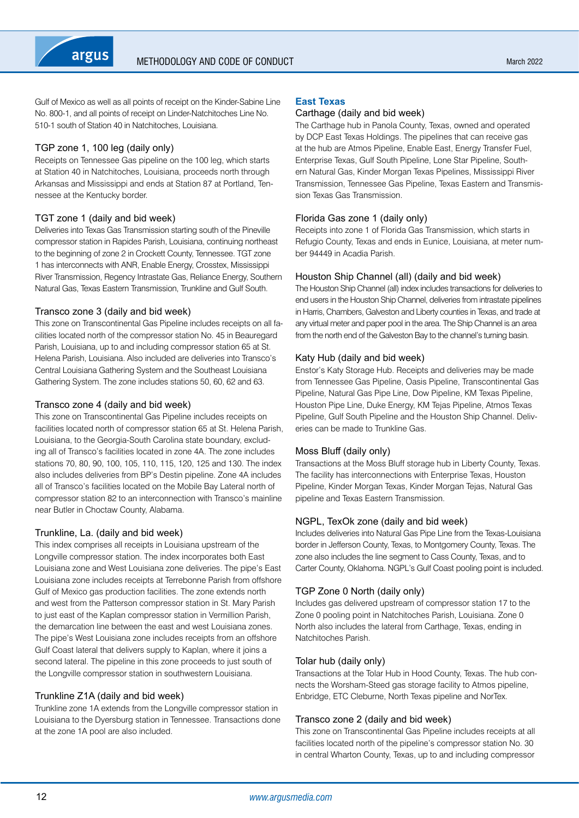Gulf of Mexico as well as all points of receipt on the Kinder-Sabine Line No. 800-1, and all points of receipt on Linder-Natchitoches Line No. 510-1 south of Station 40 in Natchitoches, Louisiana.

## TGP zone 1, 100 leg (daily only)

Receipts on Tennessee Gas pipeline on the 100 leg, which starts at Station 40 in Natchitoches, Louisiana, proceeds north through Arkansas and Mississippi and ends at Station 87 at Portland, Tennessee at the Kentucky border.

## TGT zone 1 (daily and bid week)

Deliveries into Texas Gas Transmission starting south of the Pineville compressor station in Rapides Parish, Louisiana, continuing northeast to the beginning of zone 2 in Crockett County, Tennessee. TGT zone 1 has interconnects with ANR, Enable Energy, Crosstex, Mississippi River Transmission, Regency Intrastate Gas, Reliance Energy, Southern Natural Gas, Texas Eastern Transmission, Trunkline and Gulf South.

## Transco zone 3 (daily and bid week)

This zone on Transcontinental Gas Pipeline includes receipts on all facilities located north of the compressor station No. 45 in Beauregard Parish, Louisiana, up to and including compressor station 65 at St. Helena Parish, Louisiana. Also included are deliveries into Transco's Central Louisiana Gathering System and the Southeast Louisiana Gathering System. The zone includes stations 50, 60, 62 and 63.

## Transco zone 4 (daily and bid week)

This zone on Transcontinental Gas Pipeline includes receipts on facilities located north of compressor station 65 at St. Helena Parish, Louisiana, to the Georgia-South Carolina state boundary, excluding all of Transco's facilities located in zone 4A. The zone includes stations 70, 80, 90, 100, 105, 110, 115, 120, 125 and 130. The index also includes deliveries from BP's Destin pipeline. Zone 4A includes all of Transco's facilities located on the Mobile Bay Lateral north of compressor station 82 to an interconnection with Transco's mainline near Butler in Choctaw County, Alabama.

#### Trunkline, La. (daily and bid week)

This index comprises all receipts in Louisiana upstream of the Longville compressor station. The index incorporates both East Louisiana zone and West Louisiana zone deliveries. The pipe's East Louisiana zone includes receipts at Terrebonne Parish from offshore Gulf of Mexico gas production facilities. The zone extends north and west from the Patterson compressor station in St. Mary Parish to just east of the Kaplan compressor station in Vermillion Parish, the demarcation line between the east and west Louisiana zones. The pipe's West Louisiana zone includes receipts from an offshore Gulf Coast lateral that delivers supply to Kaplan, where it joins a second lateral. The pipeline in this zone proceeds to just south of the Longville compressor station in southwestern Louisiana.

## Trunkline Z1A (daily and bid week)

Trunkline zone 1A extends from the Longville compressor station in Louisiana to the Dyersburg station in Tennessee. Transactions done at the zone 1A pool are also included.

#### **East Texas**

#### Carthage (daily and bid week)

The Carthage hub in Panola County, Texas, owned and operated by DCP East Texas Holdings. The pipelines that can receive gas at the hub are Atmos Pipeline, Enable East, Energy Transfer Fuel, Enterprise Texas, Gulf South Pipeline, Lone Star Pipeline, Southern Natural Gas, Kinder Morgan Texas Pipelines, Mississippi River Transmission, Tennessee Gas Pipeline, Texas Eastern and Transmission Texas Gas Transmission.

#### Florida Gas zone 1 (daily only)

Receipts into zone 1 of Florida Gas Transmission, which starts in Refugio County, Texas and ends in Eunice, Louisiana, at meter number 94449 in Acadia Parish.

## Houston Ship Channel (all) (daily and bid week)

The Houston Ship Channel (all) index includes transactions for deliveries to end users in the Houston Ship Channel, deliveries from intrastate pipelines in Harris, Chambers, Galveston and Liberty counties in Texas, and trade at any virtual meter and paper pool in the area. The Ship Channel is an area from the north end of the Galveston Bay to the channel's turning basin.

#### Katy Hub (daily and bid week)

Enstor's Katy Storage Hub. Receipts and deliveries may be made from Tennessee Gas Pipeline, Oasis Pipeline, Transcontinental Gas Pipeline, Natural Gas Pipe Line, Dow Pipeline, KM Texas Pipeline, Houston Pipe Line, Duke Energy, KM Tejas Pipeline, Atmos Texas Pipeline, Gulf South Pipeline and the Houston Ship Channel. Deliveries can be made to Trunkline Gas.

## Moss Bluff (daily only)

Transactions at the Moss Bluff storage hub in Liberty County, Texas. The facility has interconnections with Enterprise Texas, Houston Pipeline, Kinder Morgan Texas, Kinder Morgan Tejas, Natural Gas pipeline and Texas Eastern Transmission.

## NGPL, TexOk zone (daily and bid week)

Includes deliveries into Natural Gas Pipe Line from the Texas-Louisiana border in Jefferson County, Texas, to Montgomery County, Texas. The zone also includes the line segment to Cass County, Texas, and to Carter County, Oklahoma. NGPL's Gulf Coast pooling point is included.

## TGP Zone 0 North (daily only)

Includes gas delivered upstream of compressor station 17 to the Zone 0 pooling point in Natchitoches Parish, Louisiana. Zone 0 North also includes the lateral from Carthage, Texas, ending in Natchitoches Parish.

#### Tolar hub (daily only)

Transactions at the Tolar Hub in Hood County, Texas. The hub connects the Worsham-Steed gas storage facility to Atmos pipeline, Enbridge, ETC Cleburne, North Texas pipeline and NorTex.

## Transco zone 2 (daily and bid week)

This zone on Transcontinental Gas Pipeline includes receipts at all facilities located north of the pipeline's compressor station No. 30 in central Wharton County, Texas, up to and including compressor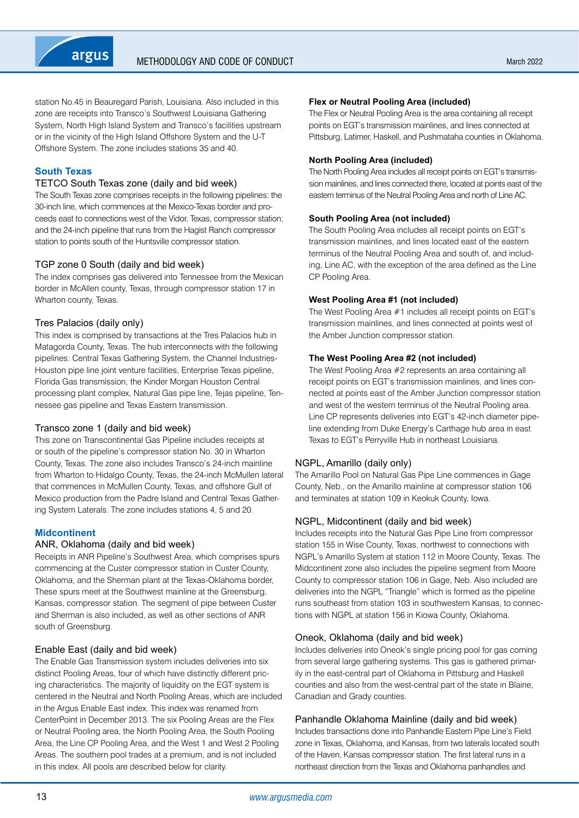

station No.45 in Beauregard Parish, Louisiana. Also included in this zone are receipts into Transco's Southwest Louisiana Gathering System, North High Island System and Transco's facilities upstream or in the vicinity of the High Island Offshore System and the U-T Offshore System. The zone includes stations 35 and 40.

## **South Texas**

#### TETCO South Texas zone (daily and bid week)

The South Texas zone comprises receipts in the following pipelines: the 30-inch line, which commences at the Mexico-Texas border and proceeds east to connections west of the Vidor, Texas, compressor station; and the 24-inch pipeline that runs from the Hagist Ranch compressor station to points south of the Huntsville compressor station.

#### TGP zone 0 South (daily and bid week)

The index comprises gas delivered into Tennessee from the Mexican border in McAllen county, Texas, through compressor station 17 in Wharton county, Texas.

## Tres Palacios (daily only)

This index is comprised by transactions at the Tres Palacios hub in Matagorda County, Texas. The hub interconnects with the following pipelines: Central Texas Gathering System, the Channel Industries-Houston pipe line joint venture facilities, Enterprise Texas pipeline, Florida Gas transmission, the Kinder Morgan Houston Central processing plant complex, Natural Gas pipe line, Tejas pipeline, Tennessee gas pipeline and Texas Eastern transmission.

#### Transco zone 1 (daily and bid week)

This zone on Transcontinental Gas Pipeline includes receipts at or south of the pipeline's compressor station No. 30 in Wharton County, Texas. The zone also includes Transco's 24-inch mainline from Wharton to Hidalgo County, Texas, the 24-inch McMullen lateral that commences in McMullen County, Texas, and offshore Gulf of Mexico production from the Padre Island and Central Texas Gathering System Laterals. The zone includes stations 4, 5 and 20.

#### **Midcontinent**

#### ANR, Oklahoma (daily and bid week)

Receipts in ANR Pipeline's Southwest Area, which comprises spurs commencing at the Custer compressor station in Custer County, Oklahoma, and the Sherman plant at the Texas-Oklahoma border, These spurs meet at the Southwest mainline at the Greensburg, Kansas, compressor station. The segment of pipe between Custer and Sherman is also included, as well as other sections of ANR south of Greensburg.

#### Enable East (daily and bid week)

The Enable Gas Transmission system includes deliveries into six distinct Pooling Areas, four of which have distinctly different pricing characteristics. The majority of liquidity on the EGT system is centered in the Neutral and North Pooling Areas, which are included in the Argus Enable East index. This index was renamed from CenterPoint in December 2013. The six Pooling Areas are the Flex or Neutral Pooling area, the North Pooling Area, the South Pooling Area, the Line CP Pooling Area, and the West 1 and West 2 Pooling Areas. The southern pool trades at a premium, and is not included in this index. All pools are described below for clarity.

#### **Flex or Neutral Pooling Area (included)**

The Flex or Neutral Pooling Area is the area containing all receipt points on EGT's transmission mainlines, and lines connected at Pittsburg, Latimer, Haskell, and Pushmataha counties in Oklahoma.

#### **North Pooling Area (included)**

The North Pooling Area includes all receipt points on EGT's transmission mainlines, and lines connected there, located at points east of the eastern terminus of the Neutral Pooling Area and north of Line AC.

#### **South Pooling Area (not included)**

The South Pooling Area includes all receipt points on EGT's transmission mainlines, and lines located east of the eastern terminus of the Neutral Pooling Area and south of, and including, Line AC, with the exception of the area defined as the Line CP Pooling Area.

#### **West Pooling Area #1 (not included)**

The West Pooling Area #1 includes all receipt points on EGT's transmission mainlines, and lines connected at points west of the Amber Junction compressor station.

## **The West Pooling Area #2 (not included)**

The West Pooling Area #2 represents an area containing all receipt points on EGT's transmission mainlines, and lines connected at points east of the Amber Junction compressor station and west of the western terminus of the Neutral Pooling area. Line CP represents deliveries into EGT's 42-inch diameter pipeline extending from Duke Energy's Carthage hub area in east Texas to EGT's Perryville Hub in northeast Louisiana.

#### NGPL, Amarillo (daily only)

The Amarillo Pool on Natural Gas Pipe Line commences in Gage County, Neb., on the Amarillo mainline at compressor station 106 and terminates at station 109 in Keokuk County, Iowa.

#### NGPL, Midcontinent (daily and bid week)

Includes receipts into the Natural Gas Pipe Line from compressor station 155 in Wise County, Texas, northwest to connections with NGPL's Amarillo System at station 112 in Moore County, Texas. The Midcontinent zone also includes the pipeline segment from Moore County to compressor station 106 in Gage, Neb. Also included are deliveries into the NGPL "Triangle" which is formed as the pipeline runs southeast from station 103 in southwestern Kansas, to connections with NGPL at station 156 in Kiowa County, Oklahoma.

#### Oneok, Oklahoma (daily and bid week)

Includes deliveries into Oneok's single pricing pool for gas coming from several large gathering systems. This gas is gathered primarily in the east-central part of Oklahoma in Pittsburg and Haskell counties and also from the west-central part of the state in Blaine, Canadian and Grady counties.

#### Panhandle Oklahoma Mainline (daily and bid week)

Includes transactions done into Panhandle Eastern Pipe Line's Field zone in Texas, Oklahoma, and Kansas, from two laterals located south of the Haven, Kansas compressor station. The first lateral runs in a northeast direction from the Texas and Oklahoma panhandles and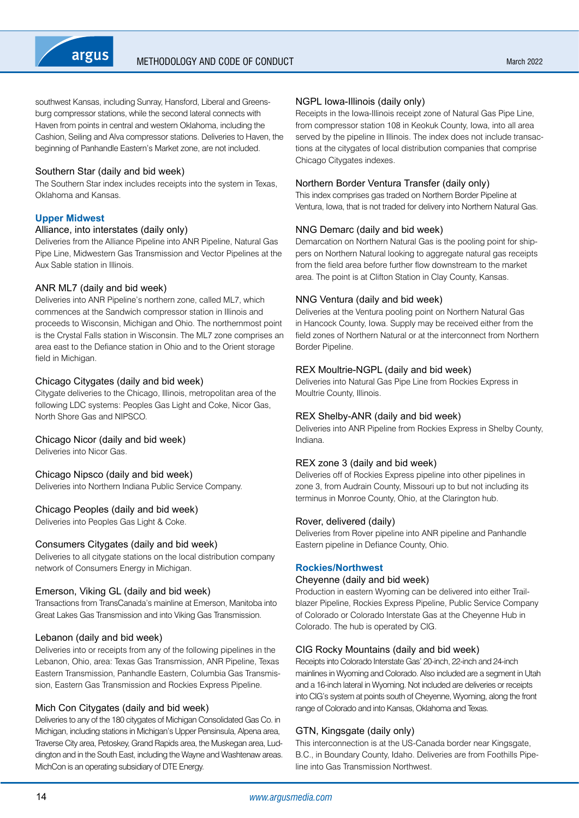

southwest Kansas, including Sunray, Hansford, Liberal and Greensburg compressor stations, while the second lateral connects with Haven from points in central and western Oklahoma, including the Cashion, Seiling and Alva compressor stations. Deliveries to Haven, the beginning of Panhandle Eastern's Market zone, are not included.

#### Southern Star (daily and bid week)

The Southern Star index includes receipts into the system in Texas, Oklahoma and Kansas.

#### **Upper Midwest**

#### Alliance, into interstates (daily only)

Deliveries from the Alliance Pipeline into ANR Pipeline, Natural Gas Pipe Line, Midwestern Gas Transmission and Vector Pipelines at the Aux Sable station in Illinois.

#### ANR ML7 (daily and bid week)

Deliveries into ANR Pipeline's northern zone, called ML7, which commences at the Sandwich compressor station in Illinois and proceeds to Wisconsin, Michigan and Ohio. The northernmost point is the Crystal Falls station in Wisconsin. The ML7 zone comprises an area east to the Defiance station in Ohio and to the Orient storage field in Michigan.

#### Chicago Citygates (daily and bid week)

Citygate deliveries to the Chicago, Illinois, metropolitan area of the following LDC systems: Peoples Gas Light and Coke, Nicor Gas, North Shore Gas and NIPSCO.

#### Chicago Nicor (daily and bid week)

Deliveries into Nicor Gas.

#### Chicago Nipsco (daily and bid week)

Deliveries into Northern Indiana Public Service Company.

#### Chicago Peoples (daily and bid week)

Deliveries into Peoples Gas Light & Coke.

#### Consumers Citygates (daily and bid week)

Deliveries to all citygate stations on the local distribution company network of Consumers Energy in Michigan.

#### Emerson, Viking GL (daily and bid week)

Transactions from TransCanada's mainline at Emerson, Manitoba into Great Lakes Gas Transmission and into Viking Gas Transmission.

#### Lebanon (daily and bid week)

Deliveries into or receipts from any of the following pipelines in the Lebanon, Ohio, area: Texas Gas Transmission, ANR Pipeline, Texas Eastern Transmission, Panhandle Eastern, Columbia Gas Transmission, Eastern Gas Transmission and Rockies Express Pipeline.

#### Mich Con Citygates (daily and bid week)

Deliveries to any of the 180 citygates of Michigan Consolidated Gas Co. in Michigan, including stations in Michigan's Upper Pensinsula, Alpena area, Traverse City area, Petoskey, Grand Rapids area, the Muskegan area, Luddington and in the South East, including the Wayne and Washtenaw areas. MichCon is an operating subsidiary of DTE Energy.

#### NGPL Iowa-Illinois (daily only)

Receipts in the Iowa-Illinois receipt zone of Natural Gas Pipe Line, from compressor station 108 in Keokuk County, Iowa, into all area served by the pipeline in Illinois. The index does not include transactions at the citygates of local distribution companies that comprise Chicago Citygates indexes.

#### Northern Border Ventura Transfer (daily only)

This index comprises gas traded on Northern Border Pipeline at Ventura, Iowa, that is not traded for delivery into Northern Natural Gas.

#### NNG Demarc (daily and bid week)

Demarcation on Northern Natural Gas is the pooling point for shippers on Northern Natural looking to aggregate natural gas receipts from the field area before further flow downstream to the market area. The point is at Clifton Station in Clay County, Kansas.

#### NNG Ventura (daily and bid week)

Deliveries at the Ventura pooling point on Northern Natural Gas in Hancock County, Iowa. Supply may be received either from the field zones of Northern Natural or at the interconnect from Northern Border Pipeline.

#### REX Moultrie-NGPL (daily and bid week)

Deliveries into Natural Gas Pipe Line from Rockies Express in Moultrie County, Illinois.

#### REX Shelby-ANR (daily and bid week)

Deliveries into ANR Pipeline from Rockies Express in Shelby County, Indiana.

#### REX zone 3 (daily and bid week)

Deliveries off of Rockies Express pipeline into other pipelines in zone 3, from Audrain County, Missouri up to but not including its terminus in Monroe County, Ohio, at the Clarington hub.

#### Rover, delivered (daily)

Deliveries from Rover pipeline into ANR pipeline and Panhandle Eastern pipeline in Defiance County, Ohio.

#### **Rockies/Northwest**

#### Cheyenne (daily and bid week)

Production in eastern Wyoming can be delivered into either Trailblazer Pipeline, Rockies Express Pipeline, Public Service Company of Colorado or Colorado Interstate Gas at the Cheyenne Hub in Colorado. The hub is operated by CIG.

#### CIG Rocky Mountains (daily and bid week)

Receipts into Colorado Interstate Gas' 20-inch, 22-inch and 24-inch mainlines in Wyoming and Colorado. Also included are a segment in Utah and a 16-inch lateral in Wyoming. Not included are deliveries or receipts into CIG's system at points south of Cheyenne, Wyoming, along the front range of Colorado and into Kansas, Oklahoma and Texas.

#### GTN, Kingsgate (daily only)

This interconnection is at the US-Canada border near Kingsgate, B.C., in Boundary County, Idaho. Deliveries are from Foothills Pipeline into Gas Transmission Northwest.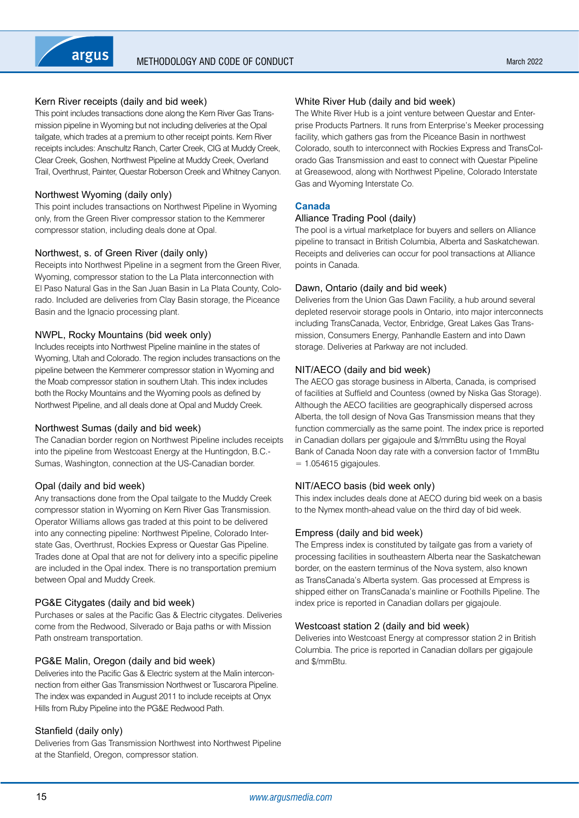## Kern River receipts (daily and bid week)

This point includes transactions done along the Kern River Gas Transmission pipeline in Wyoming but not including deliveries at the Opal tailgate, which trades at a premium to other receipt points. Kern River receipts includes: Anschultz Ranch, Carter Creek, CIG at Muddy Creek, Clear Creek, Goshen, Northwest Pipeline at Muddy Creek, Overland Trail, Overthrust, Painter, Questar Roberson Creek and Whitney Canyon.

## Northwest Wyoming (daily only)

This point includes transactions on Northwest Pipeline in Wyoming only, from the Green River compressor station to the Kemmerer compressor station, including deals done at Opal.

## Northwest, s. of Green River (daily only)

Receipts into Northwest Pipeline in a segment from the Green River, Wyoming, compressor station to the La Plata interconnection with El Paso Natural Gas in the San Juan Basin in La Plata County, Colorado. Included are deliveries from Clay Basin storage, the Piceance Basin and the Ignacio processing plant.

## NWPL, Rocky Mountains (bid week only)

Includes receipts into Northwest Pipeline mainline in the states of Wyoming, Utah and Colorado. The region includes transactions on the pipeline between the Kemmerer compressor station in Wyoming and the Moab compressor station in southern Utah. This index includes both the Rocky Mountains and the Wyoming pools as defined by Northwest Pipeline, and all deals done at Opal and Muddy Creek.

## Northwest Sumas (daily and bid week)

The Canadian border region on Northwest Pipeline includes receipts into the pipeline from Westcoast Energy at the Huntingdon, B.C.- Sumas, Washington, connection at the US-Canadian border.

## Opal (daily and bid week)

Any transactions done from the Opal tailgate to the Muddy Creek compressor station in Wyoming on Kern River Gas Transmission. Operator Williams allows gas traded at this point to be delivered into any connecting pipeline: Northwest Pipeline, Colorado Interstate Gas, Overthrust, Rockies Express or Questar Gas Pipeline. Trades done at Opal that are not for delivery into a specific pipeline are included in the Opal index. There is no transportation premium between Opal and Muddy Creek.

## PG&E Citygates (daily and bid week)

Purchases or sales at the Pacific Gas & Electric citygates. Deliveries come from the Redwood, Silverado or Baja paths or with Mission Path onstream transportation.

## PG&E Malin, Oregon (daily and bid week)

Deliveries into the Pacific Gas & Electric system at the Malin interconnection from either Gas Transmission Northwest or Tuscarora Pipeline. The index was expanded in August 2011 to include receipts at Onyx Hills from Ruby Pipeline into the PG&E Redwood Path.

## Stanfield (daily only)

Deliveries from Gas Transmission Northwest into Northwest Pipeline at the Stanfield, Oregon, compressor station.

## White River Hub (daily and bid week)

The White River Hub is a joint venture between Questar and Enterprise Products Partners. It runs from Enterprise's Meeker processing facility, which gathers gas from the Piceance Basin in northwest Colorado, south to interconnect with Rockies Express and TransColorado Gas Transmission and east to connect with Questar Pipeline at Greasewood, along with Northwest Pipeline, Colorado Interstate Gas and Wyoming Interstate Co.

## **Canada**

## Alliance Trading Pool (daily)

The pool is a virtual marketplace for buyers and sellers on Alliance pipeline to transact in British Columbia, Alberta and Saskatchewan. Receipts and deliveries can occur for pool transactions at Alliance points in Canada.

## Dawn, Ontario (daily and bid week)

Deliveries from the Union Gas Dawn Facility, a hub around several depleted reservoir storage pools in Ontario, into major interconnects including TransCanada, Vector, Enbridge, Great Lakes Gas Transmission, Consumers Energy, Panhandle Eastern and into Dawn storage. Deliveries at Parkway are not included.

## NIT/AECO (daily and bid week)

The AECO gas storage business in Alberta, Canada, is comprised of facilities at Suffield and Countess (owned by Niska Gas Storage). Although the AECO facilities are geographically dispersed across Alberta, the toll design of Nova Gas Transmission means that they function commercially as the same point. The index price is reported in Canadian dollars per gigajoule and \$/mmBtu using the Royal Bank of Canada Noon day rate with a conversion factor of 1mmBtu  $= 1.054615$  gigajoules.

## NIT/AECO basis (bid week only)

This index includes deals done at AECO during bid week on a basis to the Nymex month-ahead value on the third day of bid week.

## Empress (daily and bid week)

The Empress index is constituted by tailgate gas from a variety of processing facilities in southeastern Alberta near the Saskatchewan border, on the eastern terminus of the Nova system, also known as TransCanada's Alberta system. Gas processed at Empress is shipped either on TransCanada's mainline or Foothills Pipeline. The index price is reported in Canadian dollars per gigajoule.

#### Westcoast station 2 (daily and bid week)

Deliveries into Westcoast Energy at compressor station 2 in British Columbia. The price is reported in Canadian dollars per gigajoule and \$/mmBtu.